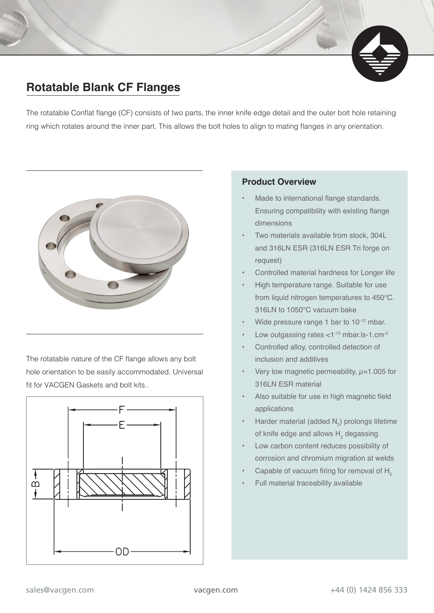## **Rotatable Blank CF Flanges**

The rotatable Conflat flange (CF) consists of two parts, the inner knife edge detail and the outer bolt hole retaining ring which rotates around the inner part. This allows the bolt holes to align to mating flanges in any orientation.



The rotatable nature of the CF flange allows any bolt hole orientation to be easily accommodated. Universal fit for VACGEN Gaskets and bolt kits..



## **Product Overview**

- Made to international flange standards. Ensuring compatibility with existing flange dimensions
- Two materials available from stock, 304L and 316LN ESR (316LN ESR Tri forge on request)
- Controlled material hardness for Longer life
- High temperature range. Suitable for use from liquid nitrogen temperatures to 450°C. 316LN to 1050°C vacuum bake
- Wide pressure range 1 bar to 10<sup>-12</sup> mbar.
- Low outgassing rates <1-13 mbar.ls-1.cm<sup>-2</sup>
- Controlled alloy, controlled detection of inclusion and additives
- Very low magnetic permeability,  $\mu$ =1.005 for 316LN ESR material
- Also suitable for use in high magnetic field applications
- Harder material (added  $N_2$ ) prolongs lifetime of knife edge and allows  $H$ <sub>2</sub> degassing
- Low carbon content reduces possibility of corrosion and chromium migration at welds
- Capable of vacuum firing for removal of  $H<sub>2</sub>$
- Full material traceability available